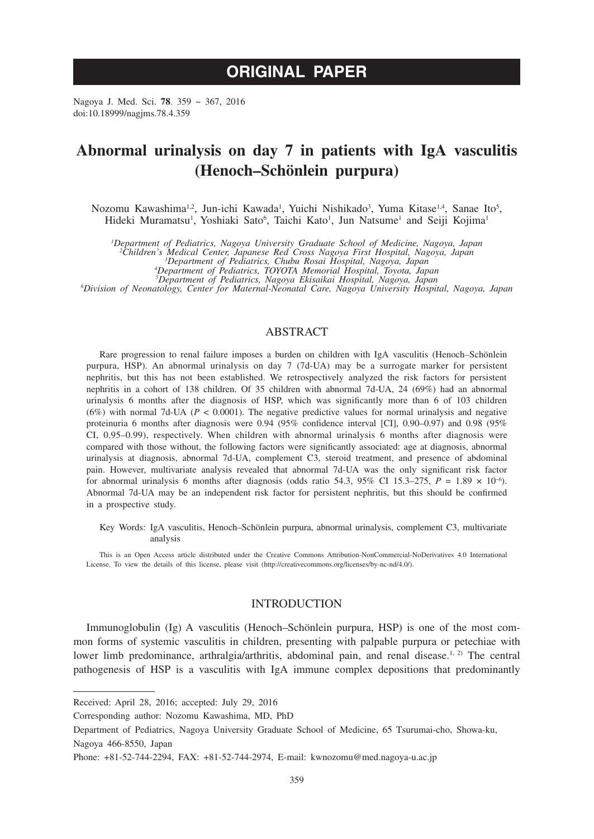# **ORIGINAL PAPER**

Nagoya J. Med. Sci. **78**. 359 ~ 367, 2016 doi:10.18999/nagjms.78.4.359

# **Abnormal urinalysis on day 7 in patients with IgA vasculitis (Henoch–Schönlein purpura)**

Nozomu Kawashima<sup>1,2</sup>, Jun-ichi Kawada<sup>1</sup>, Yuichi Nishikado<sup>3</sup>, Yuma Kitase<sup>1,4</sup>, Sanae Ito<sup>5</sup>, Hideki Muramatsu<sup>1</sup>, Yoshiaki Sato<sup>6</sup>, Taichi Kato<sup>1</sup>, Jun Natsume<sup>1</sup> and Seiji Kojima<sup>1</sup>

<sup>1</sup>Department of Pediatrics, Nagoya University Graduate School of Medicine, Nagoya, Japan<br><sup>2</sup>Children's Medical Center, Japanese Red Cross Nagoya First Hospital, Nagoya, Japan<br><sup>2</sup>Department of Pediatrics, Chubu Rosai Hospi

*Department of Pediatrics, TOYOTA Memorial Hospital, Toyota, Japan 5*

*Department of Pediatrics, Nagoya Ekisaikai Hospital, Nagoya, Japan <sup>6</sup> Division of Neonatology, Center for Maternal-Neonatal Care, Nagoya University Hospital, Nagoya, Japan*

# ABSTRACT

Rare progression to renal failure imposes a burden on children with IgA vasculitis (Henoch–Schönlein purpura, HSP). An abnormal urinalysis on day 7 (7d-UA) may be a surrogate marker for persistent nephritis, but this has not been established. We retrospectively analyzed the risk factors for persistent nephritis in a cohort of 138 children. Of 35 children with abnormal 7d-UA, 24 (69%) had an abnormal urinalysis 6 months after the diagnosis of HSP, which was significantly more than 6 of 103 children (6%) with normal 7d-UA ( $P < 0.0001$ ). The negative predictive values for normal urinalysis and negative proteinuria 6 months after diagnosis were 0.94 (95% confidence interval [CI], 0.90–0.97) and 0.98 (95% CI, 0.95–0.99), respectively. When children with abnormal urinalysis 6 months after diagnosis were compared with those without, the following factors were significantly associated: age at diagnosis, abnormal urinalysis at diagnosis, abnormal 7d-UA, complement C3, steroid treatment, and presence of abdominal pain. However, multivariate analysis revealed that abnormal 7d-UA was the only significant risk factor for abnormal urinalysis 6 months after diagnosis (odds ratio 54.3, 95% CI 15.3–275,  $P = 1.89 \times 10^{-6}$ ). Abnormal 7d-UA may be an independent risk factor for persistent nephritis, but this should be confirmed in a prospective study.

Key Words: IgA vasculitis, Henoch–Schönlein purpura, abnormal urinalysis, complement C3, multivariate analysis

This is an Open Access article distributed under the Creative Commons Attribution-NonCommercial-NoDerivatives 4.0 International License. To view the details of this license, please visit (http://creativecommons.org/licenses/by-nc-nd/4.0/).

## INTRODUCTION

Immunoglobulin (Ig) A vasculitis (Henoch–Schönlein purpura, HSP) is one of the most common forms of systemic vasculitis in children, presenting with palpable purpura or petechiae with lower limb predominance, arthralgia/arthritis, abdominal pain, and renal disease.<sup>1, 2)</sup> The central pathogenesis of HSP is a vasculitis with IgA immune complex depositions that predominantly

Received: April 28, 2016; accepted: July 29, 2016

Corresponding author: Nozomu Kawashima, MD, PhD

Department of Pediatrics, Nagoya University Graduate School of Medicine, 65 Tsurumai-cho, Showa-ku, Nagoya 466-8550, Japan

Phone: +81-52-744-2294, FAX: +81-52-744-2974, E-mail: kwnozomu@med.nagoya-u.ac.jp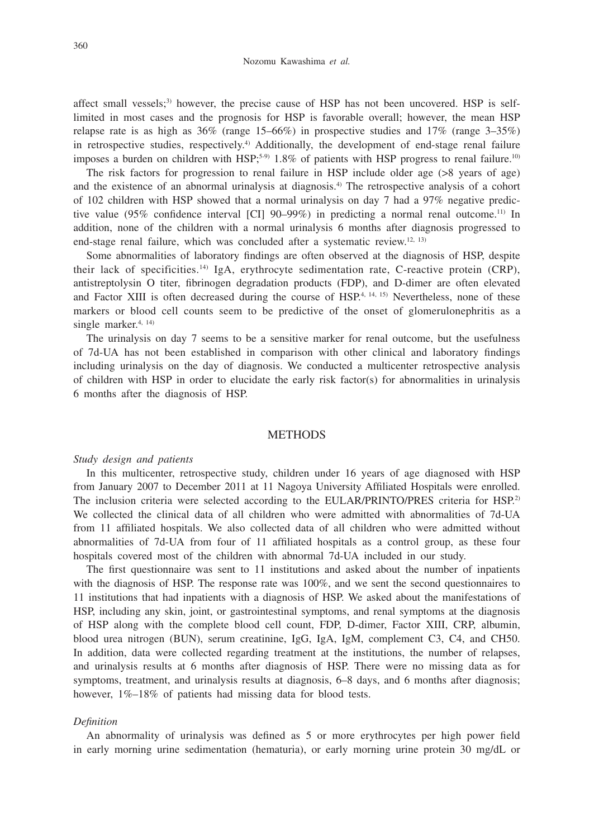affect small vessels;<sup>3)</sup> however, the precise cause of HSP has not been uncovered. HSP is selflimited in most cases and the prognosis for HSP is favorable overall; however, the mean HSP relapse rate is as high as  $36\%$  (range  $15-66\%$ ) in prospective studies and  $17\%$  (range  $3-35\%$ ) in retrospective studies, respectively.<sup>4)</sup> Additionally, the development of end-stage renal failure imposes a burden on children with HSP;<sup>5-9)</sup> 1.8% of patients with HSP progress to renal failure.<sup>10)</sup>

The risk factors for progression to renal failure in HSP include older age (>8 years of age) and the existence of an abnormal urinalysis at diagnosis.4) The retrospective analysis of a cohort of 102 children with HSP showed that a normal urinalysis on day 7 had a 97% negative predictive value (95% confidence interval [CI] 90–99%) in predicting a normal renal outcome.<sup>11)</sup> In addition, none of the children with a normal urinalysis 6 months after diagnosis progressed to end-stage renal failure, which was concluded after a systematic review.<sup>12, 13)</sup>

Some abnormalities of laboratory findings are often observed at the diagnosis of HSP, despite their lack of specificities.14) IgA, erythrocyte sedimentation rate, C-reactive protein (CRP), antistreptolysin O titer, fibrinogen degradation products (FDP), and D-dimer are often elevated and Factor XIII is often decreased during the course of HSP.<sup>4, 14, 15)</sup> Nevertheless, none of these markers or blood cell counts seem to be predictive of the onset of glomerulonephritis as a single marker.<sup>4, 14)</sup>

The urinalysis on day 7 seems to be a sensitive marker for renal outcome, but the usefulness of 7d-UA has not been established in comparison with other clinical and laboratory findings including urinalysis on the day of diagnosis. We conducted a multicenter retrospective analysis of children with HSP in order to elucidate the early risk factor(s) for abnormalities in urinalysis 6 months after the diagnosis of HSP.

#### **METHODS**

#### *Study design and patients*

In this multicenter, retrospective study, children under 16 years of age diagnosed with HSP from January 2007 to December 2011 at 11 Nagoya University Affiliated Hospitals were enrolled. The inclusion criteria were selected according to the EULAR/PRINTO/PRES criteria for HSP.<sup>2)</sup> We collected the clinical data of all children who were admitted with abnormalities of 7d-UA from 11 affiliated hospitals. We also collected data of all children who were admitted without abnormalities of 7d-UA from four of 11 affiliated hospitals as a control group, as these four hospitals covered most of the children with abnormal 7d-UA included in our study.

The first questionnaire was sent to 11 institutions and asked about the number of inpatients with the diagnosis of HSP. The response rate was 100%, and we sent the second questionnaires to 11 institutions that had inpatients with a diagnosis of HSP. We asked about the manifestations of HSP, including any skin, joint, or gastrointestinal symptoms, and renal symptoms at the diagnosis of HSP along with the complete blood cell count, FDP, D-dimer, Factor XIII, CRP, albumin, blood urea nitrogen (BUN), serum creatinine, IgG, IgA, IgM, complement C3, C4, and CH50. In addition, data were collected regarding treatment at the institutions, the number of relapses, and urinalysis results at 6 months after diagnosis of HSP. There were no missing data as for symptoms, treatment, and urinalysis results at diagnosis,  $6-8$  days, and 6 months after diagnosis; however,  $1\% - 18\%$  of patients had missing data for blood tests.

#### *Definition*

An abnormality of urinalysis was defined as 5 or more erythrocytes per high power field in early morning urine sedimentation (hematuria), or early morning urine protein 30 mg/dL or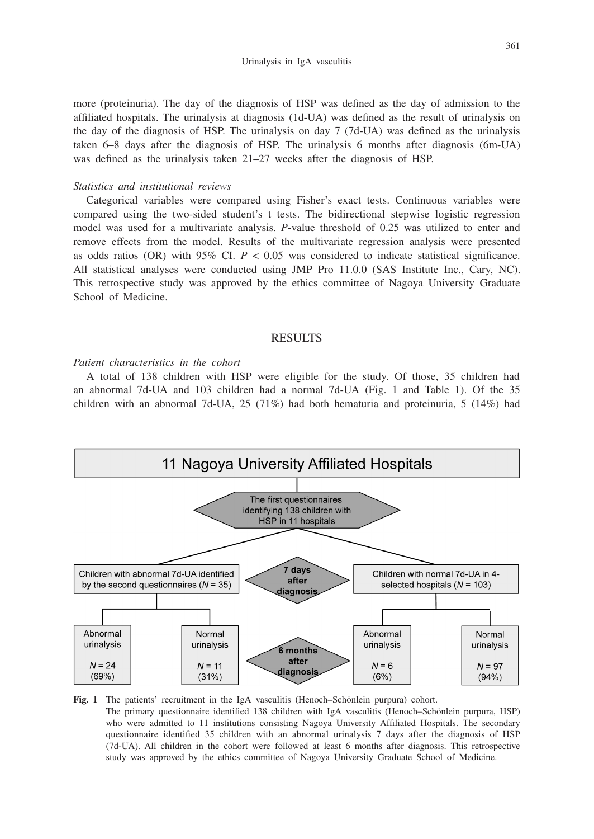Urinalysis in IgA vasculitis

361

more (proteinuria). The day of the diagnosis of HSP was defined as the day of admission to the affiliated hospitals. The urinalysis at diagnosis (1d-UA) was defined as the result of urinalysis on the day of the diagnosis of HSP. The urinalysis on day 7 (7d-UA) was defined as the urinalysis taken 6–8 days after the diagnosis of HSP. The urinalysis 6 months after diagnosis (6m-UA) was defined as the urinalysis taken 21–27 weeks after the diagnosis of HSP.

## *Statistics and institutional reviews*

Categorical variables were compared using Fisher's exact tests. Continuous variables were compared using the two-sided student's t tests. The bidirectional stepwise logistic regression model was used for a multivariate analysis. *P*-value threshold of 0.25 was utilized to enter and remove effects from the model. Results of the multivariate regression analysis were presented as odds ratios (OR) with  $95\%$  CI.  $P < 0.05$  was considered to indicate statistical significance. All statistical analyses were conducted using JMP Pro 11.0.0 (SAS Institute Inc., Cary, NC). This retrospective study was approved by the ethics committee of Nagoya University Graduate School of Medicine.

# RESULTS

# *Patient characteristics in the cohort*

A total of 138 children with HSP were eligible for the study. Of those, 35 children had an abnormal 7d-UA and 103 children had a normal 7d-UA (Fig. 1 and Table 1). Of the 35 children with an abnormal 7d-UA, 25 (71%) had both hematuria and proteinuria, 5 (14%) had



**Fig. 1** The patients' recruitment in the IgA vasculitis (Henoch–Schönlein purpura) cohort. The primary questionnaire identified 138 children with IgA vasculitis (Henoch–Schönlein purpura, HSP) who were admitted to 11 institutions consisting Nagoya University Affiliated Hospitals. The secondary questionnaire identified 35 children with an abnormal urinalysis 7 days after the diagnosis of HSP (7d-UA). All children in the cohort were followed at least 6 months after diagnosis. This retrospective study was approved by the ethics committee of Nagoya University Graduate School of Medicine.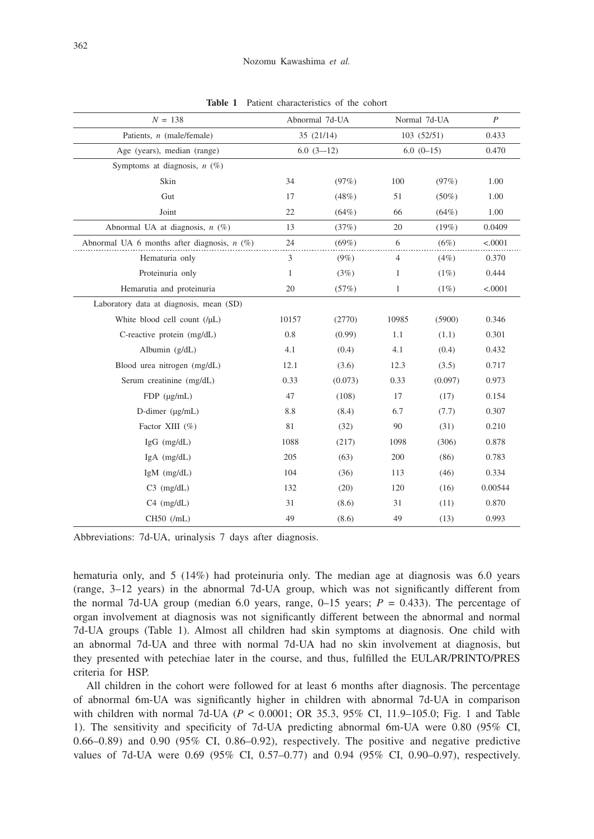| $N = 138$                                     |             | Abnormal 7d-UA |             | Normal 7d-UA | $\boldsymbol{P}$ |
|-----------------------------------------------|-------------|----------------|-------------|--------------|------------------|
| Patients, $n$ (male/female)                   | 35(21/14)   |                | 103 (52/51) |              | 0.433            |
| Age (years), median (range)                   | $6.0(3-12)$ |                | $6.0(0-15)$ |              | 0.470            |
| Symptoms at diagnosis, $n$ (%)                |             |                |             |              |                  |
| Skin                                          | 34          | (97%)          | 100         | (97%)        | 1.00             |
| Gut                                           | 17          | (48%)          | 51          | $(50\%)$     | 1.00             |
| Joint                                         | 22          | $(64\%)$       | 66          | (64%)        | 1.00             |
| Abnormal UA at diagnosis, $n$ (%)             | 13          | (37%)          | 20          | (19%)        | 0.0409           |
| Abnormal UA 6 months after diagnosis, $n$ (%) | 24          | (69%)          | 6           | (6%)         | < .0001          |
| Hematuria only                                | 3           | $(9\%)$        | 4           | (4%)         | 0.370            |
| Proteinuria only                              | 1           | (3%)           | 1           | $(1\%)$      | 0.444            |
| Hemarutia and proteinuria                     | 20          | (57%)          | 1           | (1%)         | < .0001          |
| Laboratory data at diagnosis, mean (SD)       |             |                |             |              |                  |
| White blood cell count (/µL)                  | 10157       | (2770)         | 10985       | (5900)       | 0.346            |
| C-reactive protein (mg/dL)                    | 0.8         | (0.99)         | 1.1         | (1.1)        | 0.301            |
| Albumin (g/dL)                                | 4.1         | (0.4)          | 4.1         | (0.4)        | 0.432            |
| Blood urea nitrogen (mg/dL)                   | 12.1        | (3.6)          | 12.3        | (3.5)        | 0.717            |
| Serum creatinine (mg/dL)                      | 0.33        | (0.073)        | 0.33        | (0.097)      | 0.973            |
| $FDP$ ( $\mu$ g/mL)                           | 47          | (108)          | 17          | (17)         | 0.154            |
| D-dimer (µg/mL)                               | 8.8         | (8.4)          | 6.7         | (7.7)        | 0.307            |
| Factor XIII (%)                               | 81          | (32)           | 90          | (31)         | 0.210            |
| $IgG$ (mg/dL)                                 | 1088        | (217)          | 1098        | (306)        | 0.878            |
| $IgA$ (mg/dL)                                 | 205         | (63)           | 200         | (86)         | 0.783            |
| IgM (mg/dL)                                   | 104         | (36)           | 113         | (46)         | 0.334            |
| $C3$ (mg/dL)                                  | 132         | (20)           | 120         | (16)         | 0.00544          |
| $C4$ (mg/dL)                                  | 31          | (8.6)          | 31          | (11)         | 0.870            |
| $CH50$ (/mL)                                  | 49          | (8.6)          | 49          | (13)         | 0.993            |

**Table 1** Patient characteristics of the cohort

Abbreviations: 7d-UA, urinalysis 7 days after diagnosis.

hematuria only, and 5 (14%) had proteinuria only. The median age at diagnosis was 6.0 years (range, 3–12 years) in the abnormal 7d-UA group, which was not significantly different from the normal 7d-UA group (median 6.0 years, range,  $0-15$  years;  $P = 0.433$ ). The percentage of organ involvement at diagnosis was not significantly different between the abnormal and normal 7d-UA groups (Table 1). Almost all children had skin symptoms at diagnosis. One child with an abnormal 7d-UA and three with normal 7d-UA had no skin involvement at diagnosis, but they presented with petechiae later in the course, and thus, fulfilled the EULAR/PRINTO/PRES criteria for HSP.

All children in the cohort were followed for at least 6 months after diagnosis. The percentage of abnormal 6m-UA was significantly higher in children with abnormal 7d-UA in comparison with children with normal 7d-UA (*P* < 0.0001; OR 35.3, 95% CI, 11.9–105.0; Fig. 1 and Table 1). The sensitivity and specificity of 7d-UA predicting abnormal 6m-UA were 0.80 (95% CI, 0.66–0.89) and 0.90 (95% CI, 0.86–0.92), respectively. The positive and negative predictive values of 7d-UA were 0.69 (95% CI, 0.57–0.77) and 0.94 (95% CI, 0.90–0.97), respectively.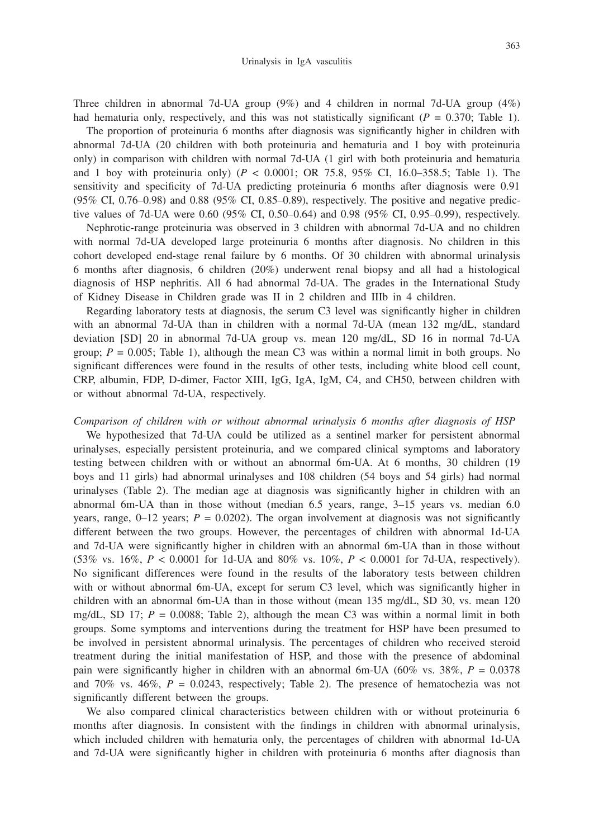Three children in abnormal 7d-UA group (9%) and 4 children in normal 7d-UA group (4%) had hematuria only, respectively, and this was not statistically significant  $(P = 0.370$ ; Table 1).

The proportion of proteinuria 6 months after diagnosis was significantly higher in children with abnormal 7d-UA (20 children with both proteinuria and hematuria and 1 boy with proteinuria only) in comparison with children with normal 7d-UA (1 girl with both proteinuria and hematuria and 1 boy with proteinuria only) ( $P < 0.0001$ ; OR 75.8, 95% CI, 16.0–358.5; Table 1). The sensitivity and specificity of 7d-UA predicting proteinuria 6 months after diagnosis were 0.91 (95% CI, 0.76–0.98) and 0.88 (95% CI, 0.85–0.89), respectively. The positive and negative predictive values of 7d-UA were 0.60 (95% CI, 0.50–0.64) and 0.98 (95% CI, 0.95–0.99), respectively.

Nephrotic-range proteinuria was observed in 3 children with abnormal 7d-UA and no children with normal 7d-UA developed large proteinuria 6 months after diagnosis. No children in this cohort developed end-stage renal failure by 6 months. Of 30 children with abnormal urinalysis 6 months after diagnosis, 6 children (20%) underwent renal biopsy and all had a histological diagnosis of HSP nephritis. All 6 had abnormal 7d-UA. The grades in the International Study of Kidney Disease in Children grade was II in 2 children and IIIb in 4 children.

Regarding laboratory tests at diagnosis, the serum C3 level was significantly higher in children with an abnormal 7d-UA than in children with a normal 7d-UA (mean 132 mg/dL, standard deviation [SD] 20 in abnormal 7d-UA group vs. mean 120 mg/dL, SD 16 in normal 7d-UA group;  $P = 0.005$ ; Table 1), although the mean C3 was within a normal limit in both groups. No significant differences were found in the results of other tests, including white blood cell count, CRP, albumin, FDP, D-dimer, Factor XIII, IgG, IgA, IgM, C4, and CH50, between children with or without abnormal 7d-UA, respectively.

# *Comparison of children with or without abnormal urinalysis 6 months after diagnosis of HSP*

We hypothesized that 7d-UA could be utilized as a sentinel marker for persistent abnormal urinalyses, especially persistent proteinuria, and we compared clinical symptoms and laboratory testing between children with or without an abnormal 6m-UA. At 6 months, 30 children (19 boys and 11 girls) had abnormal urinalyses and 108 children (54 boys and 54 girls) had normal urinalyses (Table 2). The median age at diagnosis was significantly higher in children with an abnormal 6m-UA than in those without (median 6.5 years, range, 3–15 years vs. median 6.0 years, range,  $0-12$  years;  $P = 0.0202$ ). The organ involvement at diagnosis was not significantly different between the two groups. However, the percentages of children with abnormal 1d-UA and 7d-UA were significantly higher in children with an abnormal 6m-UA than in those without (53% vs. 16%, *P* < 0.0001 for 1d-UA and 80% vs. 10%, *P* < 0.0001 for 7d-UA, respectively). No significant differences were found in the results of the laboratory tests between children with or without abnormal 6m-UA, except for serum C3 level, which was significantly higher in children with an abnormal 6m-UA than in those without (mean 135 mg/dL, SD 30, vs. mean 120 mg/dL, SD 17;  $P = 0.0088$ ; Table 2), although the mean C3 was within a normal limit in both groups. Some symptoms and interventions during the treatment for HSP have been presumed to be involved in persistent abnormal urinalysis. The percentages of children who received steroid treatment during the initial manifestation of HSP, and those with the presence of abdominal pain were significantly higher in children with an abnormal 6m-UA (60% vs. 38%, *P* = 0.0378 and  $70\%$  vs.  $46\%, P = 0.0243$ , respectively; Table 2). The presence of hematochezia was not significantly different between the groups.

We also compared clinical characteristics between children with or without proteinuria 6 months after diagnosis. In consistent with the findings in children with abnormal urinalysis, which included children with hematuria only, the percentages of children with abnormal 1d-UA and 7d-UA were significantly higher in children with proteinuria 6 months after diagnosis than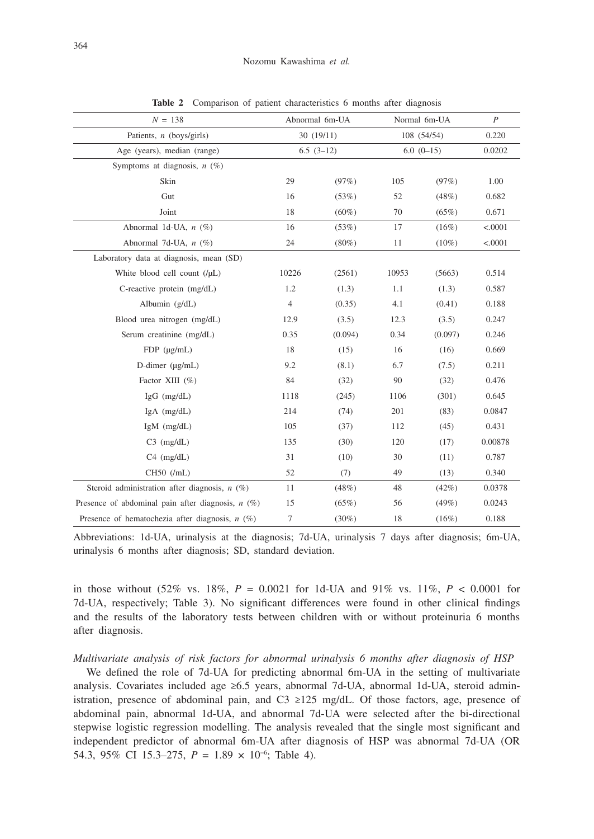| $N = 138$                                           | Abnormal 6m-UA |          | Normal 6m-UA |          | $\boldsymbol{P}$ |
|-----------------------------------------------------|----------------|----------|--------------|----------|------------------|
| Patients, $n$ (boys/girls)                          | 30(19/11)      |          | 108 (54/54)  |          | 0.220            |
| Age (years), median (range)                         | $6.5(3-12)$    |          | $6.0(0-15)$  |          | 0.0202           |
| Symptoms at diagnosis, $n$ (%)                      |                |          |              |          |                  |
| Skin                                                | 29             | (97%)    | 105          | (97%)    | 1.00             |
| Gut                                                 | 16             | (53%)    | 52           | (48%)    | 0.682            |
| Joint                                               | 18             | $(60\%)$ | 70           | (65%)    | 0.671            |
| Abnormal 1d-UA, $n$ (%)                             | 16             | (53%)    | 17           | (16%)    | < .0001          |
| Abnormal 7d-UA, $n$ (%)                             | 24             | $(80\%)$ | 11           | $(10\%)$ | < .0001          |
| Laboratory data at diagnosis, mean (SD)             |                |          |              |          |                  |
| White blood cell count $($ / $\mu$ L $)$            | 10226          | (2561)   | 10953        | (5663)   | 0.514            |
| C-reactive protein (mg/dL)                          | 1.2            | (1.3)    | 1.1          | (1.3)    | 0.587            |
| Albumin (g/dL)                                      | $\overline{4}$ | (0.35)   | 4.1          | (0.41)   | 0.188            |
| Blood urea nitrogen (mg/dL)                         | 12.9           | (3.5)    | 12.3         | (3.5)    | 0.247            |
| Serum creatinine (mg/dL)                            | 0.35           | (0.094)  | 0.34         | (0.097)  | 0.246            |
| $FDP$ ( $\mu$ g/mL)                                 | 18             | (15)     | 16           | (16)     | 0.669            |
| D-dimer $(\mu g/mL)$                                | 9.2            | (8.1)    | 6.7          | (7.5)    | 0.211            |
| Factor XIII (%)                                     | 84             | (32)     | 90           | (32)     | 0.476            |
| $IgG$ (mg/dL)                                       | 1118           | (245)    | 1106         | (301)    | 0.645            |
| $IgA$ (mg/dL)                                       | 214            | (74)     | 201          | (83)     | 0.0847           |
| $IgM$ (mg/dL)                                       | 105            | (37)     | 112          | (45)     | 0.431            |
| $C3$ (mg/dL)                                        | 135            | (30)     | 120          | (17)     | 0.00878          |
| $C4$ (mg/dL)                                        | 31             | (10)     | 30           | (11)     | 0.787            |
| $CH50$ (/mL)                                        | 52             | (7)      | 49           | (13)     | 0.340            |
| Steroid administration after diagnosis, $n$ (%)     | 11             | (48%)    | 48           | $(42\%)$ | 0.0378           |
| Presence of abdominal pain after diagnosis, $n$ (%) | 15             | (65%)    | 56           | (49%)    | 0.0243           |
| Presence of hematochezia after diagnosis, $n$ (%)   | $\tau$         | $(30\%)$ | 18           | (16%)    | 0.188            |

**Table 2** Comparison of patient characteristics 6 months after diagnosis

Abbreviations: 1d-UA, urinalysis at the diagnosis; 7d-UA, urinalysis 7 days after diagnosis; 6m-UA, urinalysis 6 months after diagnosis; SD, standard deviation.

in those without  $(52\% \text{ vs. } 18\%, P = 0.0021 \text{ for } 1d$ -UA and  $91\% \text{ vs. } 11\%, P < 0.0001 \text{ for }$ 7d-UA, respectively; Table 3). No significant differences were found in other clinical findings and the results of the laboratory tests between children with or without proteinuria 6 months after diagnosis.

## *Multivariate analysis of risk factors for abnormal urinalysis 6 months after diagnosis of HSP*

We defined the role of 7d-UA for predicting abnormal 6m-UA in the setting of multivariate analysis. Covariates included age ≥6.5 years, abnormal 7d-UA, abnormal 1d-UA, steroid administration, presence of abdominal pain, and C3  $\geq$ 125 mg/dL. Of those factors, age, presence of abdominal pain, abnormal 1d-UA, and abnormal 7d-UA were selected after the bi-directional stepwise logistic regression modelling. The analysis revealed that the single most significant and independent predictor of abnormal 6m-UA after diagnosis of HSP was abnormal 7d-UA (OR 54.3, 95% CI 15.3–275, *P* = 1.89 × 10−6; Table 4).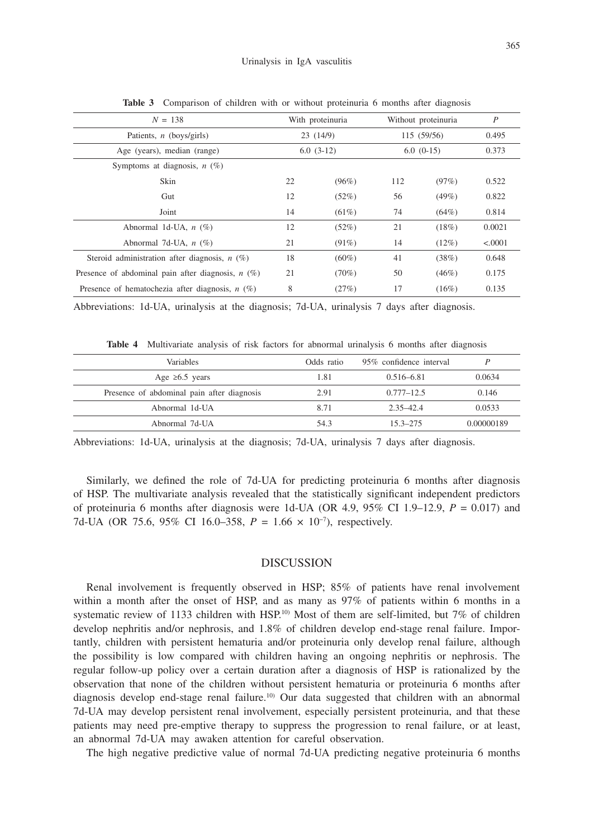| $N = 138$                                           | With proteinuria |          | Without proteinuria |          | $\boldsymbol{P}$ |
|-----------------------------------------------------|------------------|----------|---------------------|----------|------------------|
| Patients, $n$ (boys/girls)                          | 23(14/9)         |          | 115 (59/56)         |          | 0.495            |
| Age (years), median (range)                         | $6.0(3-12)$      |          | $6.0(0-15)$         |          | 0.373            |
| Symptoms at diagnosis, $n$ (%)                      |                  |          |                     |          |                  |
| Skin                                                | 22               | (96%)    | 112                 | (97%)    | 0.522            |
| Gut                                                 | 12               | (52%)    | 56                  | (49%)    | 0.822            |
| Joint                                               | 14               | $(61\%)$ | 74                  | $(64\%)$ | 0.814            |
| Abnormal 1d-UA, $n$ (%)                             | 12               | (52%)    | 21                  | (18%)    | 0.0021           |
| Abnormal 7d-UA, $n$ (%)                             | 21               | $(91\%)$ | 14                  | (12%)    | < .0001          |
| Steroid administration after diagnosis, $n$ (%)     | 18               | $(60\%)$ | 41                  | (38%)    | 0.648            |
| Presence of abdominal pain after diagnosis, $n$ (%) | 21               | $(70\%)$ | 50                  | (46%)    | 0.175            |
| Presence of hematochezia after diagnosis, $n$ (%)   | 8                | (27%)    | 17                  | (16%)    | 0.135            |

**Table 3** Comparison of children with or without proteinuria 6 months after diagnosis

Abbreviations: 1d-UA, urinalysis at the diagnosis; 7d-UA, urinalysis 7 days after diagnosis.

**Table 4** Multivariate analysis of risk factors for abnormal urinalysis 6 months after diagnosis

| <b>Variables</b>                           | Odds ratio | 95% confidence interval |            |
|--------------------------------------------|------------|-------------------------|------------|
| Age $\geq 6.5$ years                       | 1.81       | $0.516 - 6.81$          | 0.0634     |
| Presence of abdominal pain after diagnosis | 2.91       | $0.777 - 12.5$          | 0.146      |
| Abnormal 1d-UA                             | 8.71       | $2.35 - 42.4$           | 0.0533     |
| Abnormal 7d-UA                             | 54.3       | $153 - 275$             | 0.00000189 |

Abbreviations: 1d-UA, urinalysis at the diagnosis; 7d-UA, urinalysis 7 days after diagnosis.

Similarly, we defined the role of 7d-UA for predicting proteinuria 6 months after diagnosis of HSP. The multivariate analysis revealed that the statistically significant independent predictors of proteinuria 6 months after diagnosis were 1d-UA (OR 4.9,  $95\%$  CI 1.9–12.9,  $P = 0.017$ ) and 7d-UA (OR 75.6, 95% CI 16.0–358, *P* = 1.66 × 10−7), respectively.

## DISCUSSION

Renal involvement is frequently observed in HSP; 85% of patients have renal involvement within a month after the onset of HSP, and as many as 97% of patients within 6 months in a systematic review of 1133 children with HSP.<sup>10)</sup> Most of them are self-limited, but 7% of children develop nephritis and/or nephrosis, and 1.8% of children develop end-stage renal failure. Importantly, children with persistent hematuria and/or proteinuria only develop renal failure, although the possibility is low compared with children having an ongoing nephritis or nephrosis. The regular follow-up policy over a certain duration after a diagnosis of HSP is rationalized by the observation that none of the children without persistent hematuria or proteinuria 6 months after diagnosis develop end-stage renal failure.<sup>10</sup> Our data suggested that children with an abnormal 7d-UA may develop persistent renal involvement, especially persistent proteinuria, and that these patients may need pre-emptive therapy to suppress the progression to renal failure, or at least, an abnormal 7d-UA may awaken attention for careful observation.

The high negative predictive value of normal 7d-UA predicting negative proteinuria 6 months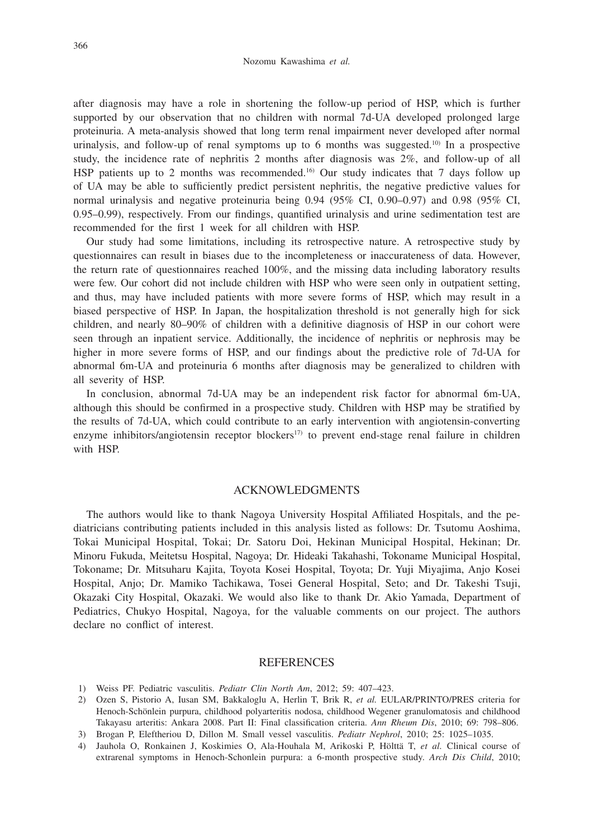after diagnosis may have a role in shortening the follow-up period of HSP, which is further supported by our observation that no children with normal 7d-UA developed prolonged large proteinuria. A meta-analysis showed that long term renal impairment never developed after normal urinalysis, and follow-up of renal symptoms up to 6 months was suggested.<sup>10)</sup> In a prospective study, the incidence rate of nephritis 2 months after diagnosis was 2%, and follow-up of all HSP patients up to 2 months was recommended.<sup>16</sup> Our study indicates that 7 days follow up of UA may be able to sufficiently predict persistent nephritis, the negative predictive values for normal urinalysis and negative proteinuria being 0.94 (95% CI, 0.90–0.97) and 0.98 (95% CI, 0.95–0.99), respectively. From our findings, quantified urinalysis and urine sedimentation test are recommended for the first 1 week for all children with HSP.

Our study had some limitations, including its retrospective nature. A retrospective study by questionnaires can result in biases due to the incompleteness or inaccurateness of data. However, the return rate of questionnaires reached 100%, and the missing data including laboratory results were few. Our cohort did not include children with HSP who were seen only in outpatient setting, and thus, may have included patients with more severe forms of HSP, which may result in a biased perspective of HSP. In Japan, the hospitalization threshold is not generally high for sick children, and nearly 80–90% of children with a definitive diagnosis of HSP in our cohort were seen through an inpatient service. Additionally, the incidence of nephritis or nephrosis may be higher in more severe forms of HSP, and our findings about the predictive role of 7d-UA for abnormal 6m-UA and proteinuria 6 months after diagnosis may be generalized to children with all severity of HSP.

In conclusion, abnormal 7d-UA may be an independent risk factor for abnormal 6m-UA, although this should be confirmed in a prospective study. Children with HSP may be stratified by the results of 7d-UA, which could contribute to an early intervention with angiotensin-converting enzyme inhibitors/angiotensin receptor blockers<sup>17</sup> to prevent end-stage renal failure in children with HSP.

## ACKNOWLEDGMENTS

The authors would like to thank Nagoya University Hospital Affiliated Hospitals, and the pediatricians contributing patients included in this analysis listed as follows: Dr. Tsutomu Aoshima, Tokai Municipal Hospital, Tokai; Dr. Satoru Doi, Hekinan Municipal Hospital, Hekinan; Dr. Minoru Fukuda, Meitetsu Hospital, Nagoya; Dr. Hideaki Takahashi, Tokoname Municipal Hospital, Tokoname; Dr. Mitsuharu Kajita, Toyota Kosei Hospital, Toyota; Dr. Yuji Miyajima, Anjo Kosei Hospital, Anjo; Dr. Mamiko Tachikawa, Tosei General Hospital, Seto; and Dr. Takeshi Tsuji, Okazaki City Hospital, Okazaki. We would also like to thank Dr. Akio Yamada, Department of Pediatrics, Chukyo Hospital, Nagoya, for the valuable comments on our project. The authors declare no conflict of interest.

#### **REFERENCES**

- 1) Weiss PF. Pediatric vasculitis. *Pediatr Clin North Am*, 2012; 59: 407–423.
- 2) Ozen S, Pistorio A, Iusan SM, Bakkaloglu A, Herlin T, Brik R, *et al.* EULAR/PRINTO/PRES criteria for Henoch-Schönlein purpura, childhood polyarteritis nodosa, childhood Wegener granulomatosis and childhood Takayasu arteritis: Ankara 2008. Part II: Final classification criteria. *Ann Rheum Dis*, 2010; 69: 798–806.
- 3) Brogan P, Eleftheriou D, Dillon M. Small vessel vasculitis. *Pediatr Nephrol*, 2010; 25: 1025–1035.
- 4) Jauhola O, Ronkainen J, Koskimies O, Ala-Houhala M, Arikoski P, Hölttä T, *et al.* Clinical course of extrarenal symptoms in Henoch-Schonlein purpura: a 6-month prospective study. *Arch Dis Child*, 2010;